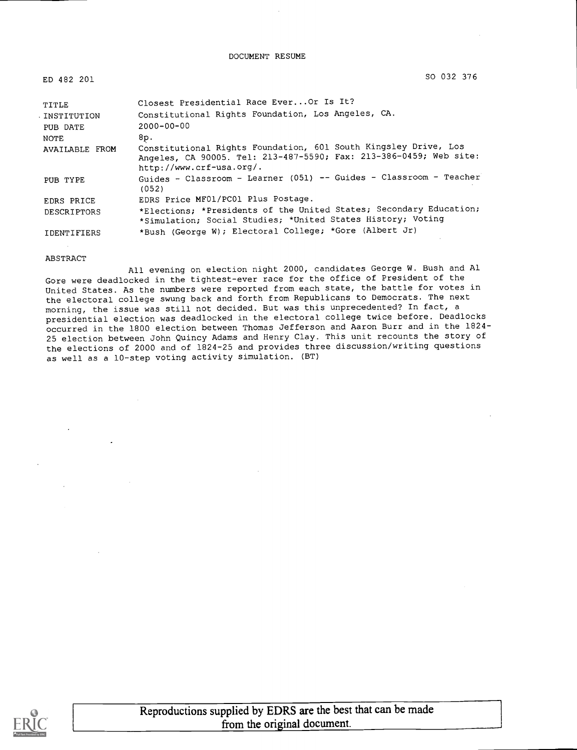#### DOCUMENT RESUME

ED 482 201 SO 032 376

| TITLE<br>. INSTITUTION<br>PUB DATE<br>NOTE | Closest Presidential Race Ever Or Is It?<br>Constitutional Rights Foundation, Los Angeles, CA.<br>$2000 - 00 - 00$<br>8p.         |
|--------------------------------------------|-----------------------------------------------------------------------------------------------------------------------------------|
| AVAILABLE FROM                             | Constitutional Rights Foundation, 601 South Kingsley Drive, Los                                                                   |
|                                            | Angeles, CA 90005. Tel: 213-487-5590; Fax: 213-386-0459; Web site:<br>http://www.crf-usa.org/.                                    |
| PUB TYPE                                   | Guides - Classroom - Learner (051) -- Guides - Classroom - Teacher<br>(052)                                                       |
| EDRS PRICE                                 | EDRS Price MF01/PC01 Plus Postage.                                                                                                |
| DESCRIPTORS                                | *Elections; *Presidents of the United States; Secondary Education;<br>*Simulation; Social Studies; *United States History; Voting |
| <b>IDENTIFIERS</b>                         | *Bush (George W); Electoral College; *Gore (Albert Jr)                                                                            |

#### ABSTRACT

All evening on election night 2000, candidates George W. Bush and Al Gore were deadlocked in the tightest-ever race for the office of President of the United States. As the numbers were reported from each state, the battle for votes in the electoral college swung back and forth from Republicans to Democrats. The next morning, the issue was still not decided. But was this unprecedented? In fact, a presidential election was deadlocked in the electoral college twice before. Deadlocks occurred in the 1800 election between Thomas Jefferson and Aaron Burr and in the 1824- 25 election between John Quincy Adams and Henry Clay. This unit recounts the story of the elections of 2000 and of 1824-25 and provides three discussion/writing questions as well as a 10-step voting activity simulation. (BT)

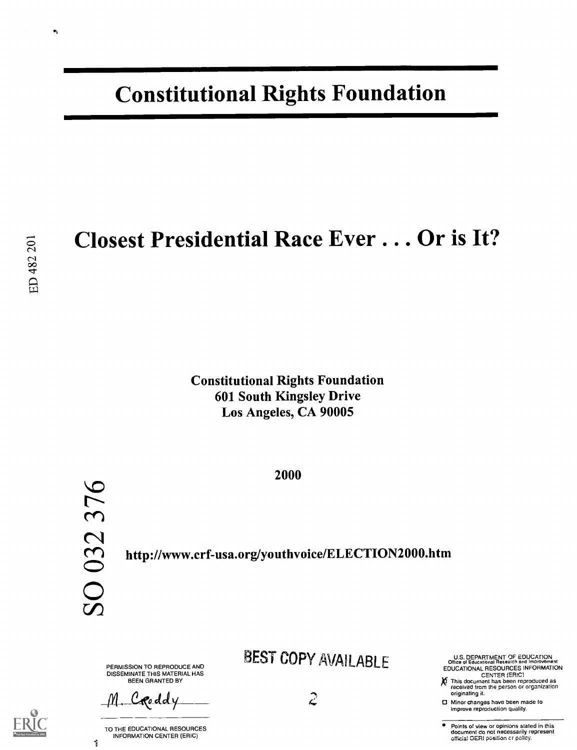# Constitutional Rights Foundation

## Closest Presidential Race Ever... Or is It?

Constitutional Rights Foundation 601 South Kingsley Drive Los Angeles, CA 90005

2000

http://www.crf-usa.org/youthvoice/ELECTION2000.htm

PERMISSION TO REPRODUCE AND DISSEMINATE THIS MATERIAL HAS BEEN GRANTED BY

M. Croddy

TO THE EDUCATIONAL RESOURCES INFORMATION CENTER (ERIC)

BEST COPY AVAILABLE

U.S. DEPARTMENT OF EDUCATION<br>Office of Educational Research and Improvement EDUCATIONAL RESOURCES INFORMATION

CENTER (ERIC) This document has been reproduced as received from the person or organization originating it. X

0 Minor changes have been made to improve reproduction quality.

Points of view or opinions stated in this document do not necessarily represent<br>official OERI position cr policy.

 $\bullet$ 

1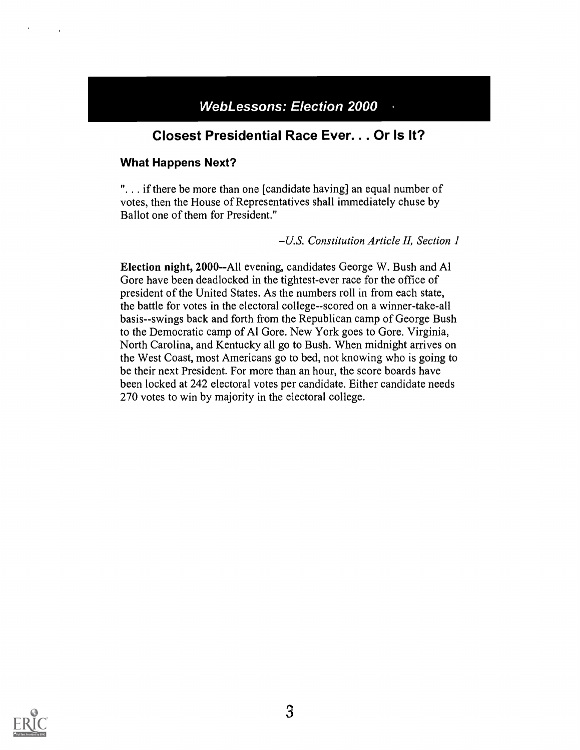### WebLessons: Election 2000

### Closest Presidential Race Ever. . . Or Is It?

#### What Happens Next?

". . if there be more than one [candidate having] an equal number of votes, then the House of Representatives shall immediately chuse by Ballot one of them for President."

U.S. Constitution Article II, Section I

Election night, 2000--All evening, candidates George W. Bush and Al Gore have been deadlocked in the tightest-ever race for the office of president of the United States. As the numbers roll in from each state, the battle for votes in the electoral college--scored on a winner-take-all basis--swings back and forth from the Republican camp of George Bush to the Democratic camp of Al Gore. New York goes to Gore. Virginia, North Carolina, and Kentucky all go to Bush. When midnight arrives on the West Coast, most Americans go to bed, not knowing who is going to be their next President. For more than an hour, the score boards have been locked at 242 electoral votes per candidate. Either candidate needs 270 votes to win by majority in the electoral college.

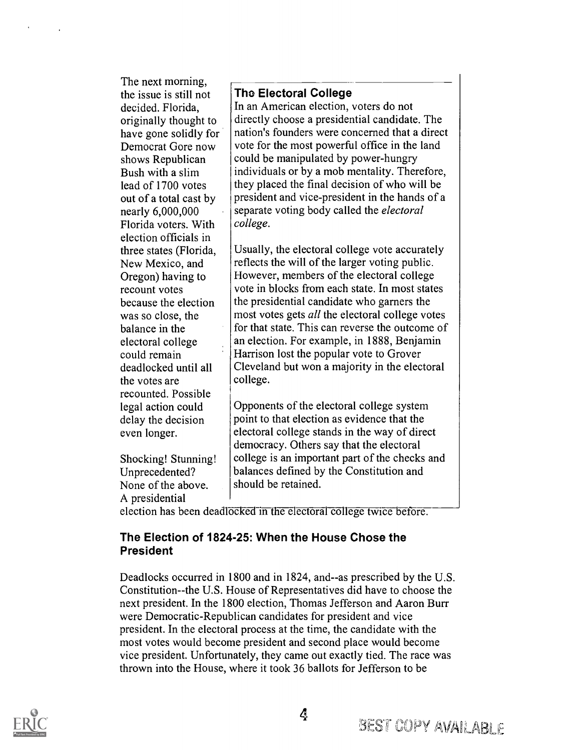The next morning, the issue is still not decided. Florida, originally thought to have gone solidly for Democrat Gore now shows Republican Bush with a slim lead of 1700 votes out of a total cast by nearly 6,000,000 Florida voters. With election officials in three states (Florida, New Mexico, and Oregon) having to recount votes because the election was so close, the balance in the electoral college could remain deadlocked until all the votes are recounted. Possible legal action could delay the decision even longer.

Shocking! Stunning! Unprecedented? None of the above. A presidential

The Electoral College

In an American election, voters do not directly choose a presidential candidate. The nation's founders were concerned that a direct vote for the most powerful office in the land could be manipulated by power-hungry individuals or by a mob mentality. Therefore, they placed the final decision of who will be president and vice-president in the hands of a separate voting body called the *electoral* college.

Usually, the electoral college vote accurately reflects the will of the larger voting public. However, members of the electoral college vote in blocks from each state. In most states the presidential candidate who garners the most votes gets all the electoral college votes for that state. This can reverse the outcome of an election. For example, in 1888, Benjamin Harrison lost the popular vote to Grover Cleveland but won a majority in the electoral college.

Opponents of the electoral college system point to that election as evidence that the electoral college stands in the way of direct democracy. Others say that the electoral college is an important part of the checks and balances defined by the Constitution and should be retained.

election has been deadlocked in the electoral college twice before.

#### The Election of 1824-25: When the House Chose the President

Deadlocks occurred in 1800 and in 1824, and--as prescribed by the U.S. Constitution--the U.S. House of Representatives did have to choose the next president. In the 1800 election, Thomas Jefferson and Aaron Burr were Democratic-Republican candidates for president and vice president. In the electoral process at the time, the candidate with the most votes would become president and second place would become vice president. Unfortunately, they came out exactly tied. The race was thrown into the House, where it took 36 ballots for Jefferson to be

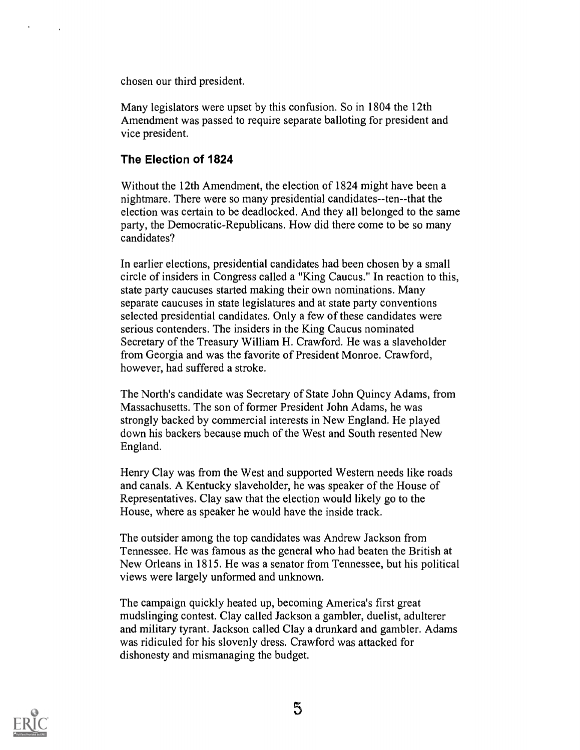chosen our third president.

Many legislators were upset by this confusion. So in 1804 the 12th Amendment was passed to require separate balloting for president and vice president.

#### The Election of 1824

Without the 12th Amendment, the election of 1824 might have been a nightmare. There were so many presidential candidates--ten--that the election was certain to be deadlocked. And they all belonged to the same party, the Democratic-Republicans. How did there come to be so many candidates?

In earlier elections, presidential candidates had been chosen by a small circle of insiders in Congress called a "King Caucus." In reaction to this, state party caucuses started making their own nominations. Many separate caucuses in state legislatures and at state party conventions selected presidential candidates. Only a few of these candidates were serious contenders. The insiders in the King Caucus nominated Secretary of the Treasury William H. Crawford. He was a slaveholder from Georgia and was the favorite of President Monroe. Crawford, however, had suffered a stroke.

The North's candidate was Secretary of State John Quincy Adams, from Massachusetts. The son of former President John Adams, he was strongly backed by commercial interests in New England. He played down his backers because much of the West and South resented New England.

Henry Clay was from the West and supported Western needs like roads and canals. A Kentucky slaveholder, he was speaker of the House of Representatives. Clay saw that the election would likely go to the House, where as speaker he would have the inside track.

The outsider among the top candidates was Andrew Jackson from Tennessee. He was famous as the general who had beaten the British at New Orleans in 1815. He was a senator from Tennessee, but his political views were largely unformed and unknown.

The campaign quickly heated up, becoming America's first great mudslinging contest. Clay called Jackson a gambler, duelist, adulterer and military tyrant. Jackson called Clay a drunkard and gambler. Adams was ridiculed for his slovenly dress. Crawford was attacked for dishonesty and mismanaging the budget.

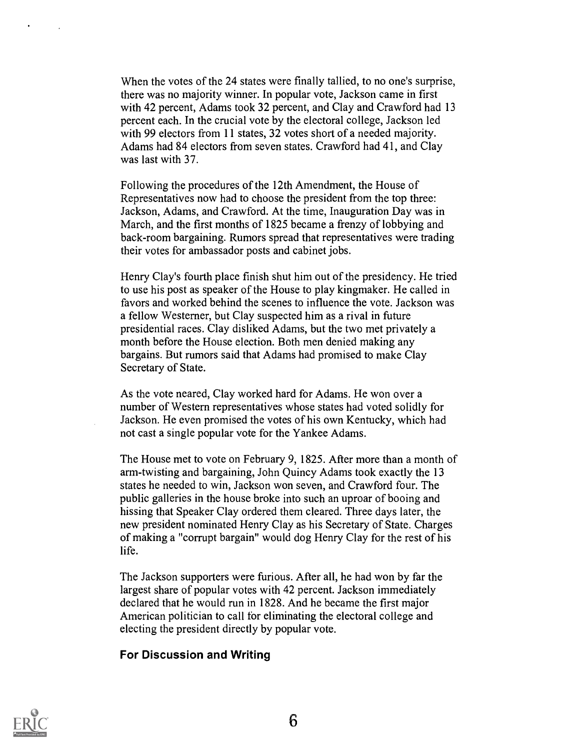When the votes of the 24 states were finally tallied, to no one's surprise, there was no majority winner. In popular vote, Jackson came in first with 42 percent, Adams took 32 percent, and Clay and Crawford had 13 percent each. In the crucial vote by the electoral college, Jackson led with 99 electors from 11 states, 32 votes short of a needed majority. Adams had 84 electors from seven states. Crawford had 41, and Clay was last with 37.

Following the procedures of the 12th Amendment, the House of Representatives now had to choose the president from the top three: Jackson, Adams, and Crawford. At the time, Inauguration Day was in March, and the first months of 1825 became a frenzy of lobbying and back-room bargaining. Rumors spread that representatives were trading their votes for ambassador posts and cabinet jobs.

Henry Clay's fourth place finish shut him out of the presidency. He tried to use his post as speaker of the House to play kingmaker. He called in favors and worked behind the scenes to influence the vote. Jackson was a fellow Westerner, but Clay suspected him as a rival in future presidential races. Clay disliked Adams, but the two met privately a month before the House election. Both men denied making any bargains. But rumors said that Adams had promised to make Clay Secretary of State.

As the vote neared, Clay worked hard for Adams. He won over a number of Western representatives whose states had voted solidly for Jackson. He even promised the votes of his own Kentucky, which had not cast a single popular vote for the Yankee Adams.

The House met to vote on February 9, 1825. After more than a month of arm-twisting and bargaining, John Quincy Adams took exactly the 13 states he needed to win, Jackson won seven, and Crawford four. The public galleries in the house broke into such an uproar of booing and hissing that Speaker Clay ordered them cleared. Three days later, the new president nominated Henry Clay as his Secretary of State. Charges of making a "corrupt bargain" would dog Henry Clay for the rest of his life.

The Jackson supporters were furious. After all, he had won by far the largest share of popular votes with 42 percent. Jackson immediately declared that he would run in 1828. And he became the first major American politician to call for eliminating the electoral college and electing the president directly by popular vote.

#### For Discussion and Writing

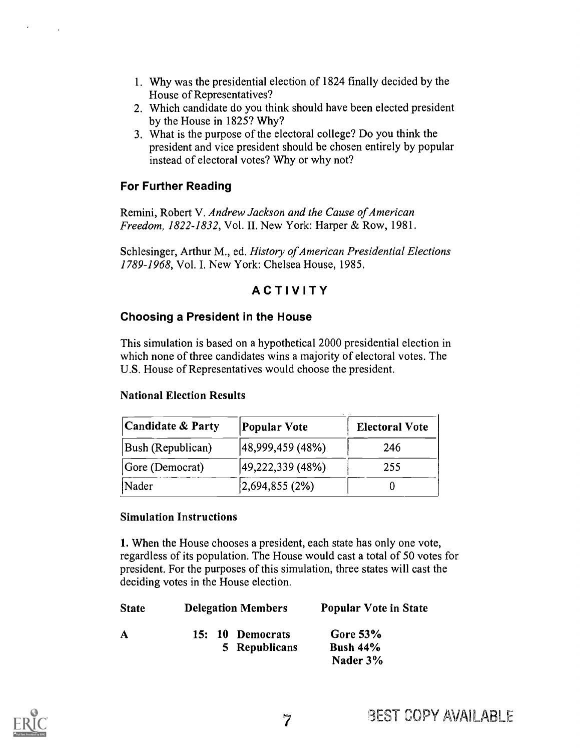- 1. Why was the presidential election of 1824 finally decided by the House of Representatives?
- 2. Which candidate do you think should have been elected president by the House in 1825? Why?
- 3. What is the purpose of the electoral college? Do you think the president and vice president should be chosen entirely by popular instead of electoral votes? Why or why not?

#### For Further Reading

Remini, Robert V. Andrew Jackson and the Cause of American Freedom, 1822-1832, Vol. II. New York: Harper & Row, 1981.

Schlesinger, Arthur M., ed. History of American Presidential Elections 1789-1968, Vol. I. New York: Chelsea House, 1985.

### ACTIVITY

#### Choosing a President in the House

This simulation is based on a hypothetical 2000 presidential election in which none of three candidates wins a majority of electoral votes. The U.S. House of Representatives would choose the president.

#### National Election Results

| <b>Candidate &amp; Party</b> | <b>Popular Vote</b>     | <b>Electoral Vote</b> |
|------------------------------|-------------------------|-----------------------|
| Bush (Republican)            | 48,999,459 (48%)        | 246                   |
| Gore (Democrat)              | $ 49,222,339 \, (48\%)$ | 255                   |
| Nader                        | 2,694,855(2%)           |                       |

#### Simulation Instructions

1. When the House chooses a president, each state has only one vote, regardless of its population. The House would cast a total of 50 votes for president. For the purposes of this simulation, three states will cast the deciding votes in the House election.

| <b>Delegation Members</b>         | <b>Popular Vote in State</b>          |  |
|-----------------------------------|---------------------------------------|--|
| 15: 10 Democrats<br>5 Republicans | Gore $53\%$<br>Bush $44%$<br>Nader 3% |  |
|                                   |                                       |  |
|                                   |                                       |  |

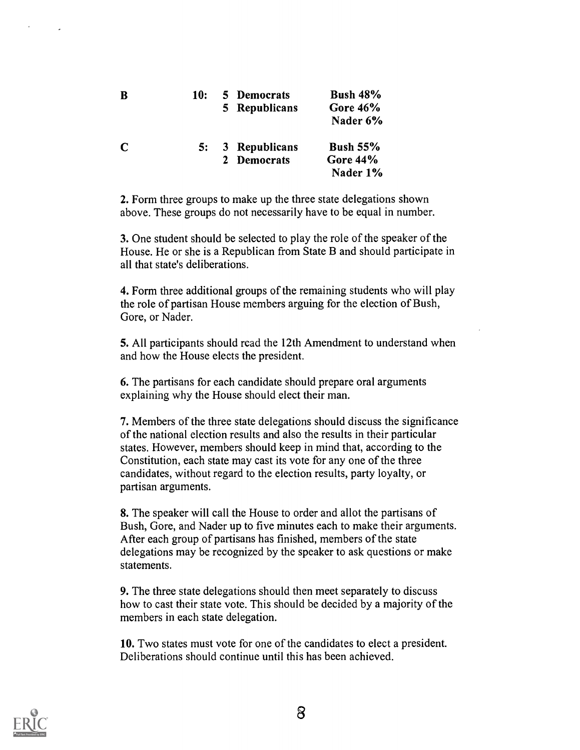| B             | 10: | 5 Democrats<br>5 Republicans | <b>Bush 48%</b><br>Gore $46\%$<br>Nader 6%     |  |
|---------------|-----|------------------------------|------------------------------------------------|--|
| $\mathcal{C}$ | 5:  | 3 Republicans<br>2 Democrats | <b>Bush 55%</b><br><b>Gore 44%</b><br>Nader 1% |  |

2. Form three groups to make up the three state delegations shown above. These groups do not necessarily have to be equal in number.

3. One student should be selected to play the role of the speaker of the House. He or she is a Republican from State B and should participate in all that state's deliberations.

4. Form three additional groups of the remaining students who will play the role of partisan House members arguing for the election of Bush, Gore, or Nader.

5. All participants should read the 12th Amendment to understand when and how the House elects the president.

6. The partisans for each candidate should prepare oral arguments explaining why the House should elect their man.

7. Members of the three state delegations should discuss the significance of the national election results and also the results in their particular states. However, members should keep in mind that, according to the Constitution, each state may cast its vote for any one of the three candidates, without regard to the election results, party loyalty, or partisan arguments.

8. The speaker will call the House to order and allot the partisans of Bush, Gore, and Nader up to five minutes each to make their arguments. After each group of partisans has finished, members of the state delegations may be recognized by the speaker to ask questions or make statements.

9. The three state delegations should then meet separately to discuss how to cast their state vote. This should be decided by a majority of the members in each state delegation.

10. Two states must vote for one of the candidates to elect a president. Deliberations should continue until this has been achieved.